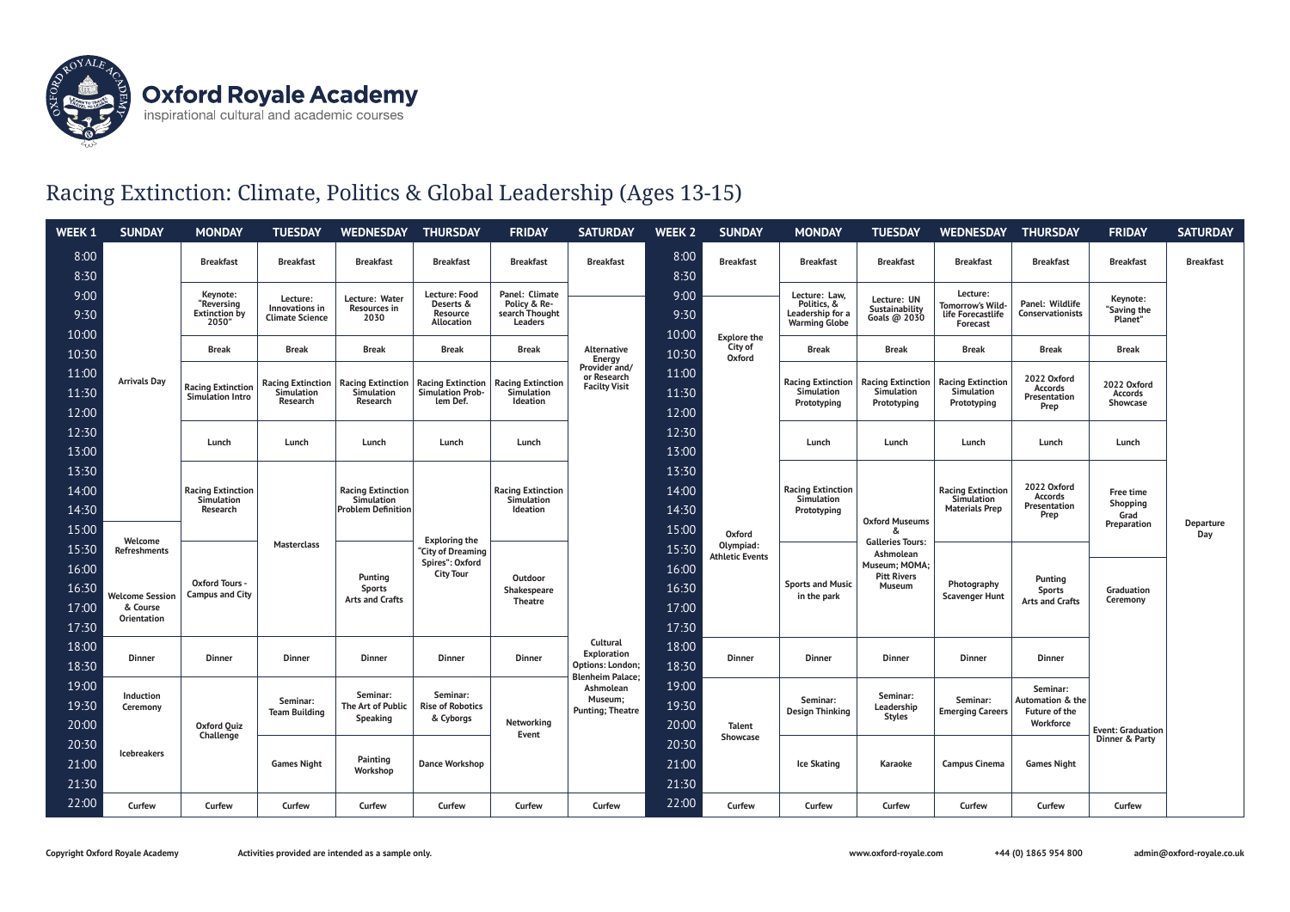

## Racing Extinction: Climate, Politics & Global Leadership (Ages 13-15)

| WEEK 1                  | <b>SUNDAY</b>                                                                              | <b>MONDAY</b>                                                                                                                      | <b>TUESDAY</b>                                       | <b>WEDNESDAY</b>                                                    | <b>THURSDAY</b>                                                           | <b>FRIDAY</b>                                               | <b>SATURDAY</b>                                                        | <b>WEEK 2</b>                           | <b>SUNDAY</b>                                 | <b>MONDAY</b>                                                            | <b>TUESDAY</b>                                                                             | <b>WEDNESDAY</b>                                                | <b>THURSDAY</b>                                            | <b>FRIDAY</b>                      | <b>SATURDAY</b>  |
|-------------------------|--------------------------------------------------------------------------------------------|------------------------------------------------------------------------------------------------------------------------------------|------------------------------------------------------|---------------------------------------------------------------------|---------------------------------------------------------------------------|-------------------------------------------------------------|------------------------------------------------------------------------|-----------------------------------------|-----------------------------------------------|--------------------------------------------------------------------------|--------------------------------------------------------------------------------------------|-----------------------------------------------------------------|------------------------------------------------------------|------------------------------------|------------------|
| 8:00<br>8:30            |                                                                                            | <b>Breakfast</b>                                                                                                                   | <b>Breakfast</b>                                     | <b>Breakfast</b>                                                    | <b>Breakfast</b>                                                          | <b>Breakfast</b>                                            | <b>Breakfast</b>                                                       | 8:00<br>8:30                            | <b>Breakfast</b>                              | <b>Breakfast</b>                                                         | <b>Breakfast</b>                                                                           | <b>Breakfast</b>                                                | <b>Breakfast</b>                                           | <b>Breakfast</b>                   | <b>Breakfast</b> |
| 9:00<br>9:30            |                                                                                            | Keynote:<br>"Reversing<br><b>Extinction by</b><br>2050"                                                                            | Lecture:<br>Innovations in<br><b>Climate Science</b> | Lecture: Water<br><b>Resources in</b><br>2030                       | Lecture: Food<br>Deserts &<br><b>Resource</b><br>Allocation               | Panel: Climate<br>Policy & Re-<br>search Thought<br>Leaders |                                                                        | 9:00<br>9:30                            |                                               | Lecture: Law,<br>Politics, &<br>Leadership for a<br><b>Warming Globe</b> | Lecture: UN<br>Sustainability<br>Goals @ 2030                                              | Lecture:<br>Tomorrow's Wild-<br>life Forecastlife<br>Forecast   | Panel: Wildlife<br><b>Conservationists</b>                 | Keynote:<br>"Saving the<br>Planet" |                  |
| 10:00<br>10:30<br>11:00 |                                                                                            | <b>Break</b><br><b>Break</b><br><b>Racing Extinction</b><br><b>Racing Extinction</b><br>Simulation<br>Simulation Intro<br>Research | <b>Break</b>                                         | <b>Break</b>                                                        | <b>Break</b>                                                              | Alternative<br><b>Energy</b><br>Provider and/               | 10:00<br>10:30<br>11:00                                                | <b>Explore the</b><br>City of<br>Oxford | <b>Break</b>                                  | <b>Break</b>                                                             | <b>Break</b>                                                                               | <b>Break</b>                                                    | <b>Break</b>                                               |                                    |                  |
| 11:30<br>12:00          | <b>Arrivals Day</b>                                                                        |                                                                                                                                    |                                                      | <b>Racing Extinction</b><br>Simulation<br>Research                  | <b>Racing Extinction</b><br>Simulation Prob-<br>lem Def.                  | <b>Racing Extinction</b><br>Simulation<br>Ideation          | or Research<br><b>Facilty Visit</b>                                    | 11:30<br>12:00                          |                                               | <b>Racing Extinction</b><br>Simulation<br>Prototyping                    | <b>Racing Extinction</b><br>Simulation<br>Prototyping                                      | <b>Racing Extinction</b><br>Simulation<br>Prototyping           | 2022 Oxford<br>Accords<br>Presentation<br>Prep             | 2022 Oxford<br>Accords<br>Showcase |                  |
| 12:30<br>13:00          |                                                                                            | Lunch                                                                                                                              | Lunch                                                | Lunch                                                               | Lunch                                                                     | Lunch                                                       |                                                                        | 12:30<br>13:00                          |                                               | Lunch                                                                    | Lunch                                                                                      | Lunch                                                           | Lunch                                                      | Lunch                              |                  |
| 13:30<br>14:00<br>14:30 |                                                                                            | <b>Racing Extinction</b><br>Simulation<br>Research                                                                                 |                                                      | <b>Racing Extinction</b><br>Simulation<br><b>Problem Definition</b> |                                                                           | <b>Racing Extinction</b><br>Simulation<br>Ideation          |                                                                        | 13:30<br>14:00<br>14:30                 | Oxford<br>Olympiad:<br><b>Athletic Events</b> | <b>Racing Extinction</b><br>Simulation<br>Prototyping                    | <b>Oxford Museums</b>                                                                      | <b>Racing Extinction</b><br>Simulation<br><b>Materials Prep</b> | 2022 Oxford<br><b>Accords</b><br>Presentation<br>Prep      | Free time<br>Shopping<br>Grad      | Departure<br>Day |
| 15:00<br>15:30<br>16:00 | Welcome<br><b>Refreshments</b><br><b>Welcome Session</b><br>& Course<br><b>Orientation</b> |                                                                                                                                    | Masterclass                                          |                                                                     | <b>Exploring the</b><br>"City of Dreaming<br>Spires": Oxford              | Outdoor<br>Shakespeare<br><b>Theatre</b>                    |                                                                        | 15:00<br>15:30<br>16:00                 |                                               |                                                                          | &<br><b>Galleries Tours:</b><br>Ashmolean<br>Museum; MOMA;<br><b>Pitt Rivers</b><br>Museum |                                                                 |                                                            | Preparation                        |                  |
| 16:30<br>17:00<br>17:30 |                                                                                            | <b>Oxford Tours -</b><br><b>Campus and City</b>                                                                                    |                                                      | Punting<br><b>Sports</b><br><b>Arts and Crafts</b>                  | <b>City Tour</b>                                                          |                                                             |                                                                        | 16:30<br>17:00<br>17:30                 |                                               | <b>Sports and Music</b><br>in the park                                   |                                                                                            | Photography<br><b>Scavenger Hunt</b>                            | Punting<br><b>Sports</b><br><b>Arts and Crafts</b>         | Graduation<br>Ceremony             |                  |
| 18:00<br>18:30          | <b>Dinner</b>                                                                              | Dinner                                                                                                                             | <b>Dinner</b>                                        | <b>Dinner</b>                                                       | <b>Dinner</b>                                                             | <b>Dinner</b>                                               | Cultural<br><b>Exploration</b><br>Options: London;<br>Blenheim Palace; | 18:00<br>18:30                          | <b>Dinner</b>                                 | <b>Dinner</b>                                                            | <b>Dinner</b>                                                                              | <b>Dinner</b>                                                   | <b>Dinner</b>                                              |                                    |                  |
| 19:00<br>19:30<br>20:00 | Induction<br>Ceremony                                                                      | <b>Oxford Quiz</b><br>Challenge                                                                                                    | Seminar:<br><b>Team Building</b>                     | Seminar:<br>The Art of Public<br>Speaking                           | Seminar:<br><b>Rise of Robotics</b><br>& Cyborgs<br><b>Dance Workshop</b> | Networking<br>Event                                         | Ashmolean<br>Museum;<br><b>Punting; Theatre</b>                        | 19:00<br>19:30<br>20:00                 | <b>Talent</b><br>Showcase                     | Seminar:<br><b>Design Thinking</b>                                       | Seminar:<br>Leadership<br><b>Styles</b>                                                    | Seminar:<br><b>Emerging Careers</b>                             | Seminar:<br>Automation & the<br>Future of the<br>Workforce | <b>Event: Graduation</b>           |                  |
| 20:30<br>21:00<br>21:30 | <b>Icebreakers</b>                                                                         |                                                                                                                                    | <b>Games Night</b>                                   | Painting<br>Workshop                                                |                                                                           |                                                             |                                                                        | 20:30<br>21:00<br>21:30                 |                                               | <b>Ice Skating</b>                                                       | Karaoke                                                                                    | <b>Campus Cinema</b>                                            | <b>Games Night</b>                                         | Dinner & Party                     |                  |
| 22:00                   | Curfew                                                                                     | Curfew                                                                                                                             | Curfew                                               | Curfew                                                              | Curfew                                                                    | Curfew                                                      | Curfew                                                                 | 22:00                                   | Curfew                                        | Curfew                                                                   | Curfew                                                                                     | Curfew                                                          | Curfew                                                     | Curfew                             |                  |